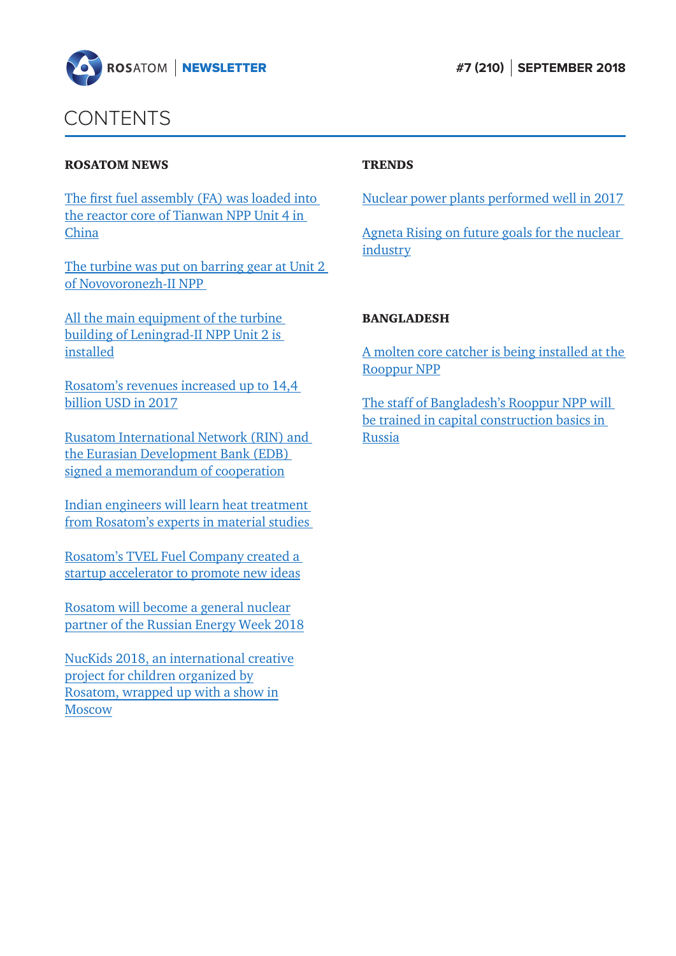

## CONTENTS

#### ROSATOM NEWS

[The first fuel assembly \(FA\) was loaded into](#page-1-0)  the reactor core of Tianwan NPP Unit 4 in China

[The turbine was put on barring gear at Unit 2](#page-2-0)  of Novovoronezh-II NPP

[Аll the main equipment of the turbine](#page-2-0)  building of Leningrad-II NPP Unit 2 is installed

[Rosatom's revenues increased up to 14,4](#page-3-0)  billion USD in 2017

[Rusatom International Network \(RIN\) and](#page-5-0)  the Eurasian Development Bank (EDB) signed a memorandum of cooperation

Indian engineers will learn heat treatment [from Rosatom's experts in material studies](#page-6-0) 

[Rosatom's TVEL Fuel Company created a](#page-6-0)  startup accelerator to promote new ideas

Rosatom will become a general nuclear [partner of the Russian Energy Week 2018](#page-7-0) 

[NucKids 2018, an international creative](#page-7-0)  project for children organized by Rosatom, wrapped up with a show in **Moscow** 

### **TRENDS**

[Nuclear power plants performed well in 2017](#page-9-0) 

[Agneta Rising on future goals for the nuclear](#page-11-0)  industry

#### BANGLADESH

[A molten core catcher is being installed at the](#page-12-0)  Rooppur NPP

[The staff of Bangladesh's Rooppur NPP will](#page-13-0)  be trained in capital construction basics in Russia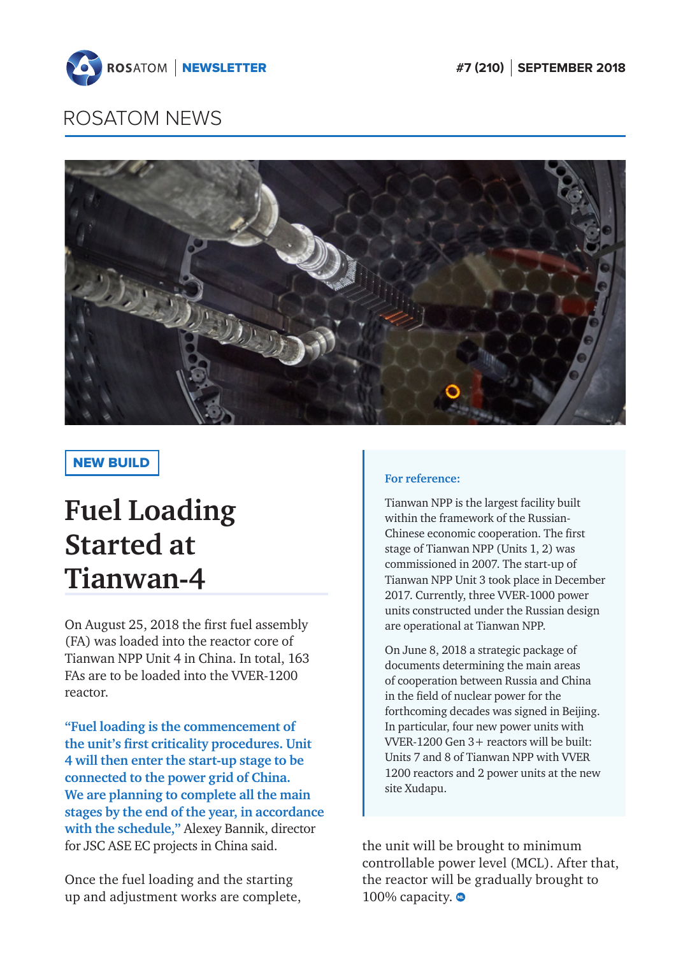<span id="page-1-0"></span>



## NEW BUILD

# **Fuel Loading Started at Tianwan-4**

On August 25, 2018 the first fuel assembly (FA) was loaded into the reactor core of Tianwan NPP Unit 4 in China. In total, 163 FAs are to be loaded into the VVER-1200 reactor.

**"Fuel loading is the commencement of the unit's first criticality procedures. Unit 4 will then enter the start-up stage to be connected to the power grid of China. We are planning to complete all the main stages by the end of the year, in accordance with the schedule,"** Alexey Bannik, director for JSC ASE EC projects in China said.

Once the fuel loading and the starting up and adjustment works are complete,

### **For reference:**

Tianwan NPP is the largest facility built within the framework of the Russian-Chinese economic cooperation. The first stage of Tianwan NPP (Units 1, 2) was commissioned in 2007. The start-up of Tianwan NPP Unit 3 took place in December 2017. Currently, three VVER-1000 power units constructed under the Russian design are operational at Tianwan NPP.

On June 8, 2018 a strategic package of documents determining the main areas of cooperation between Russia and China in the field of nuclear power for the forthcoming decades was signed in Beijing. In particular, four new power units with VVER-1200 Gen 3+ reactors will be built: Units 7 and 8 of Tianwan NPP with VVER 1200 reactors and 2 power units at the new site Xudapu.

the unit will be brought to minimum controllable power level (MCL). After that, the reactor will be gradually brought to 100% capacity.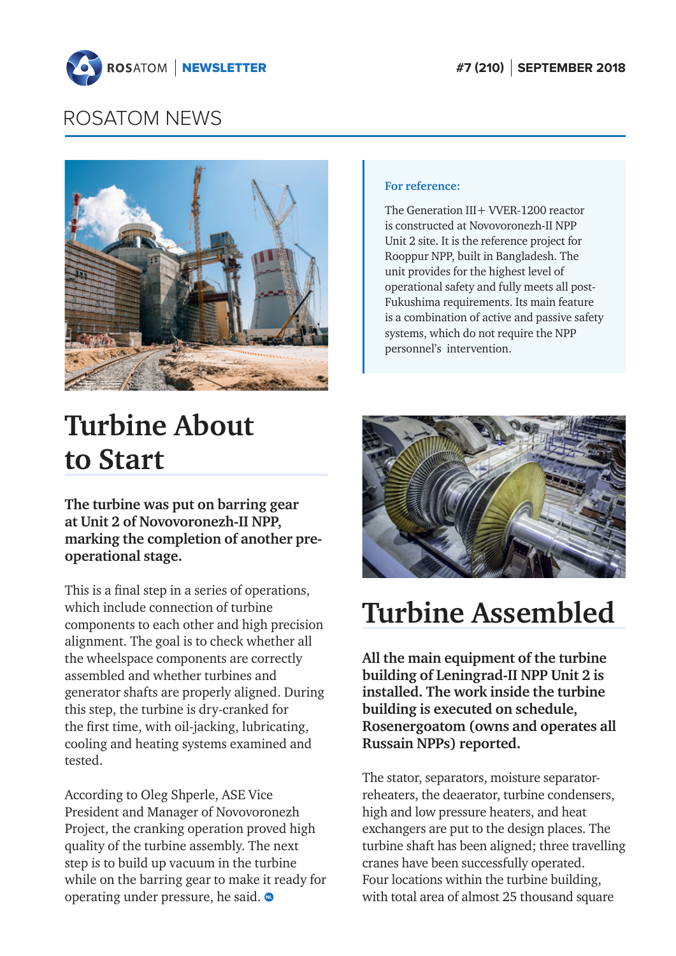<span id="page-2-0"></span>



#### **For reference:**

The Generation III + VVER-1200 reactor is constructed at Novovoronezh-II NPP Unit 2 site. It is the reference project for Rooppur NPP, built in Bangladesh. The unit provides for the highest level of operational safety and fully meets all post-Fukushima requirements. Its main feature is a combination of active and passive safety systems, which do not require the NPP personnel's intervention.

# **Turbine About to Start**

**The turbine was put on barring gear at Unit 2 of Novovoronezh-II NPP, marking the completion of another preoperational stage.**

This is a final step in a series of operations, which include connection of turbine components to each other and high precision alignment. The goal is to check whether all the wheelspace components are correctly assembled and whether turbines and generator shafts are properly aligned. During this step, the turbine is dry-cranked for the first time, with oil-jacking, lubricating, cooling and heating systems examined and tested.

According to Oleg Shperle, ASE Vice President and Manager of Novovoronezh Project, the cranking operation proved high quality of the turbine assembly. The next step is to build up vacuum in the turbine while on the barring gear to make it ready for operating under pressure, he said.



# **Turbine Assembled**

**Аll the main equipment of the turbine building of Leningrad-II NPP Unit 2 is installed. The work inside the turbine building is executed on schedule, Rosenergoatom (owns and operates all Russain NPPs) reported.**

The stator, separators, moisture separatorreheaters, the deaerator, turbine condensers, high and low pressure heaters, and heat exchangers are put to the design places. The turbine shaft has been aligned; three travelling cranes have been successfully operated. Four locations within the turbine building, with total area of almost 25 thousand square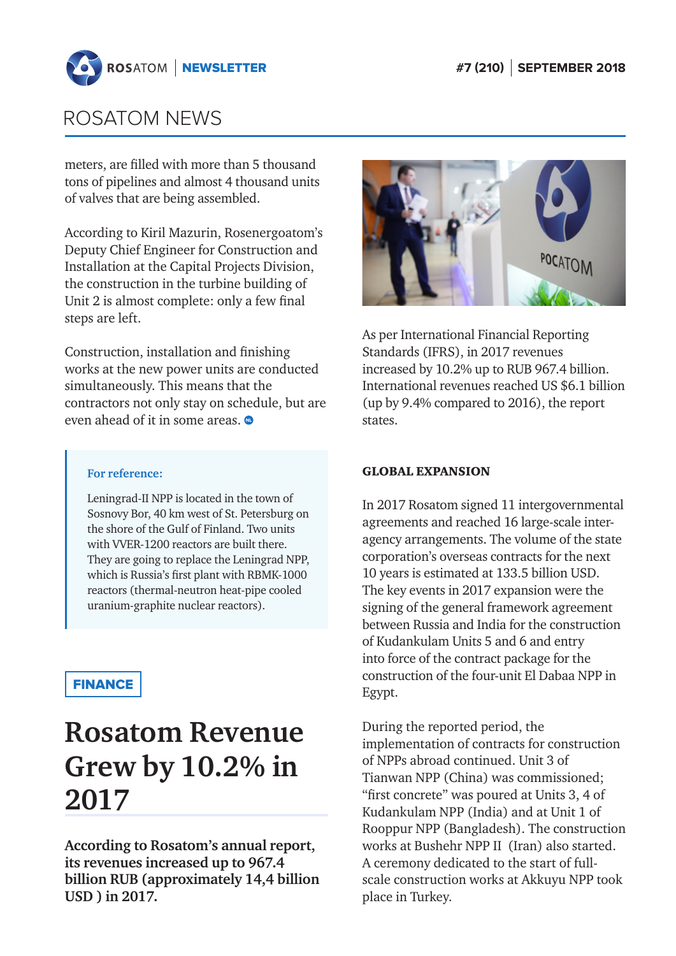<span id="page-3-0"></span>

meters, are filled with more than 5 thousand tons of pipelines and almost 4 thousand units of valves that are being assembled.

According to Kiril Mazurin, Rosenergoatom's Deputy Chief Engineer for Construction and Installation at the Capital Projects Division, the construction in the turbine building of Unit 2 is almost complete: only a few final steps are left.

Construction, installation and finishing works at the new power units are conducted simultaneously. This means that the contractors not only stay on schedule, but are even ahead of it in some areas.



As per International Financial Reporting Standards (IFRS), in 2017 revenues increased by 10.2% up to RUB 967.4 billion. International revenues reached US \$6.1 billion (up by 9.4% compared to 2016), the report states.

#### GLOBAL EXPANSION

In 2017 Rosatom signed 11 intergovernmental agreements and reached 16 large-scale interagency arrangements. The volume of the state corporation's overseas contracts for the next 10 years is estimated at 133.5 billion USD. The key events in 2017 expansion were the signing of the general framework agreement between Russia and India for the construction of Kudankulam Units 5 and 6 and entry into force of the contract package for the construction of the four-unit El Dabaa NPP in Egypt.

During the reported period, the implementation of contracts for construction of NPPs abroad continued. Unit 3 of Tianwan NPP (China) was commissioned; "first concrete" was poured at Units 3, 4 of Kudankulam NPP (India) and at Unit 1 of Rooppur NPP (Bangladesh). The construction works at Bushehr NPP II (Iran) also started. A ceremony dedicated to the start of fullscale construction works at Akkuyu NPP took place in Turkey.

#### **For reference:**

Leningrad-II NPP is located in the town of Sosnovy Bor, 40 km west of St. Petersburg on the shore of the Gulf of Finland. Two units with VVER-1200 reactors are built there. They are going to replace the Leningrad NPP, which is Russia's first plant with RBMK-1000 reactors (thermal-neutron heat-pipe cooled uranium-graphite nuclear reactors).

## **FINANCE**

# **Rosatom Revenue Grew by 10.2% in 2017**

**According to Rosatom's annual report, its revenues increased up to 967.4 billion RUB (approximately 14,4 billion USD ) in 2017.**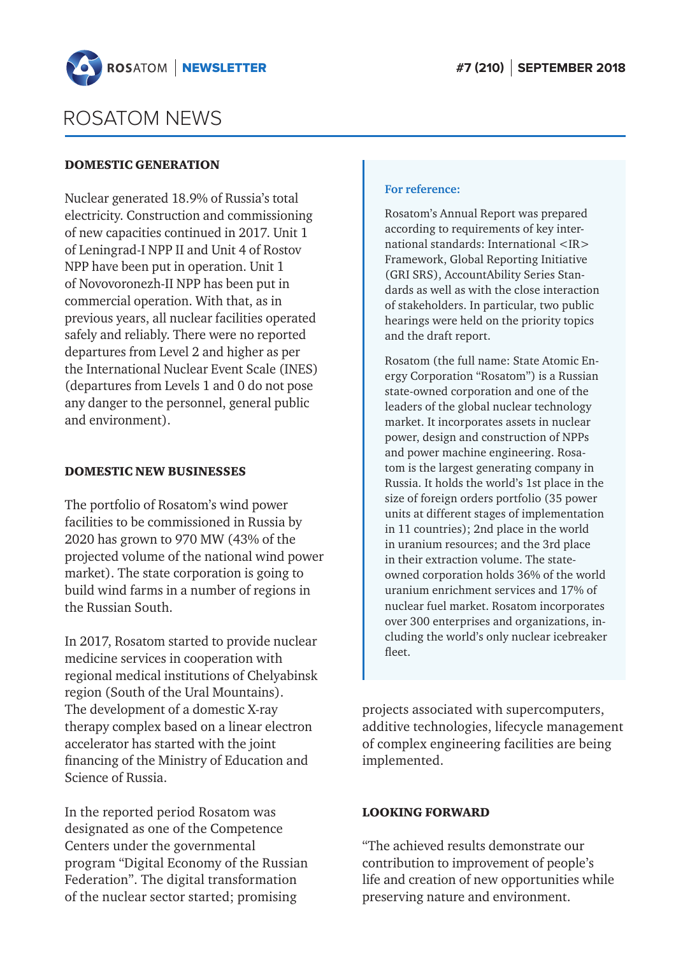

#### DOMESTIC GENERATION

Nuclear generated 18.9% of Russia's total electricity. Construction and commissioning of new capacities continued in 2017. Unit 1 of Leningrad-I NPP II and Unit 4 of Rostov NPP have been put in operation. Unit 1 of Novovoronezh-II NPP has been put in commercial operation. With that, as in previous years, all nuclear facilities operated safely and reliably. There were no reported departures from Level 2 and higher as per the International Nuclear Event Scale (INES) (departures from Levels 1 and 0 do not pose any danger to the personnel, general public and environment).

#### DOMESTIC NEW BUSINESSES

The portfolio of Rosatom's wind power facilities to be commissioned in Russia by 2020 has grown to 970 MW (43% of the projected volume of the national wind power market). The state corporation is going to build wind farms in a number of regions in the Russian South.

In 2017, Rosatom started to provide nuclear medicine services in cooperation with regional medical institutions of Chelyabinsk region (South of the Ural Mountains). The development of a domestic X-ray therapy complex based on a linear electron accelerator has started with the joint financing of the Ministry of Education and Science of Russia.

In the reported period Rosatom was designated as one of the Competence Centers under the governmental program "Digital Economy of the Russian Federation". The digital transformation of the nuclear sector started; promising

#### **For reference:**

Rosatom's Annual Report was prepared according to requirements of key international standards: International <IR> Framework, Global Reporting Initiative (GRI SRS), AccountAbility Series Standards as well as with the close interaction of stakeholders. In particular, two public hearings were held on the priority topics and the draft report.

Rosatom (the full name: State Atomic Energy Corporation "Rosatom") is a Russian state-owned corporation and one of the leaders of the global nuclear technology market. It incorporates assets in nuclear power, design and construction of NPPs and power machine engineering. Rosatom is the largest generating company in Russia. It holds the world's 1st place in the size of foreign orders portfolio (35 power units at different stages of implementation in 11 countries); 2nd place in the world in uranium resources; and the 3rd place in their extraction volume. The stateowned corporation holds 36% of the world uranium enrichment services and 17% of nuclear fuel market. Rosatom incorporates over 300 enterprises and organizations, including the world's only nuclear icebreaker fleet.

projects associated with supercomputers, additive technologies, lifecycle management of complex engineering facilities are being implemented.

### LOOKING FORWARD

"The achieved results demonstrate our contribution to improvement of people's life and creation of new opportunities while preserving nature and environment.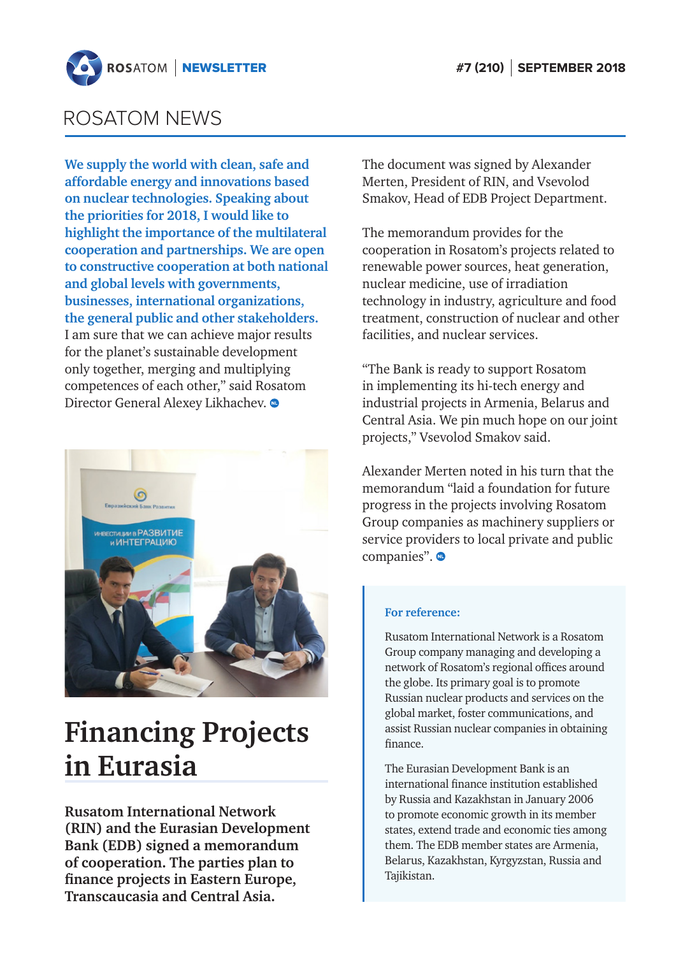<span id="page-5-0"></span>

**We supply the world with clean, safe and affordable energy and innovations based on nuclear technologies. Speaking about the priorities for 2018, I would like to highlight the importance of the multilateral cooperation and partnerships. We are open to constructive cooperation at both national and global levels with governments, businesses, international organizations, the general public and other stakeholders.** I am sure that we can achieve major results for the planet's sustainable development only together, merging and multiplying competences of each other," said Rosatom Director General Alexey Likhachev.  $\bullet$ 



# **Financing Projects in Eurasia**

**Rusatom International Network (RIN) and the Eurasian Development Bank (EDB) signed a memorandum of cooperation. The parties plan to finance projects in Eastern Europe, Transcaucasia and Central Asia.**

The document was signed by Alexander Merten, President of RIN, and Vsevolod Smakov, Head of EDB Project Department.

The memorandum provides for the cooperation in Rosatom's projects related to renewable power sources, heat generation, nuclear medicine, use of irradiation technology in industry, agriculture and food treatment, construction of nuclear and other facilities, and nuclear services.

"The Bank is ready to support Rosatom in implementing its hi-tech energy and industrial projects in Armenia, Belarus and Central Asia. We pin much hope on our joint projects," Vsevolod Smakov said.

Alexander Merten noted in his turn that the memorandum "laid a foundation for future progress in the projects involving Rosatom Group companies as machinery suppliers or service providers to local private and public companies".

#### **For reference:**

Rusatom International Network is a Rosatom Group company managing and developing a network of Rosatom's regional offices around the globe. Its primary goal is to promote Russian nuclear products and services on the global market, foster communications, and assist Russian nuclear companies in obtaining finance.

The Eurasian Development Bank is an international finance institution established by Russia and Kazakhstan in January 2006 to promote economic growth in its member states, extend trade and economic ties among them. The EDB member states are Armenia, Belarus, Kazakhstan, Kyrgyzstan, Russia and Tajikistan.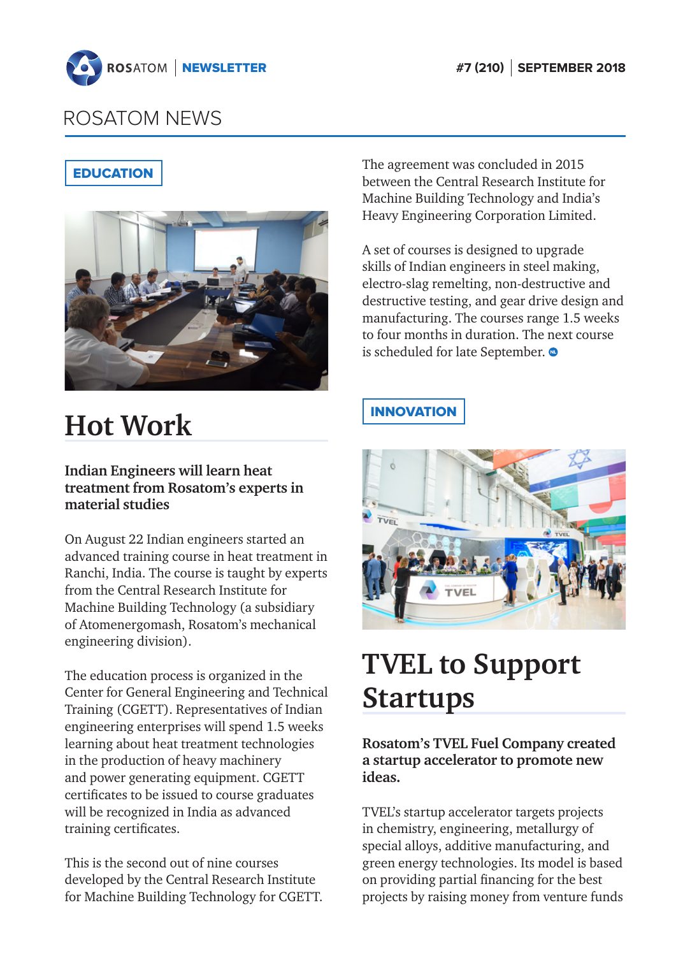<span id="page-6-0"></span>

## **EDUCATION**



# **Hot Work**

## **Indian Engineers will learn heat treatment from Rosatom's experts in material studies**

On August 22 Indian engineers started an advanced training course in heat treatment in Ranchi, India. The course is taught by experts from the Central Research Institute for Machine Building Technology (a subsidiary of Atomenergomash, Rosatom's mechanical engineering division).

The education process is organized in the Center for General Engineering and Technical Training (CGETT). Representatives of Indian engineering enterprises will spend 1.5 weeks learning about heat treatment technologies in the production of heavy machinery and power generating equipment. CGETT certificates to be issued to course graduates will be recognized in India as advanced training certificates.

This is the second out of nine courses developed by the Central Research Institute for Machine Building Technology for CGETT. The agreement was concluded in 2015 between the Central Research Institute for Machine Building Technology and India's Heavy Engineering Corporation Limited.

A set of courses is designed to upgrade skills of Indian engineers in steel making, electro-slag remelting, non-destructive and destructive testing, and gear drive design and manufacturing. The courses range 1.5 weeks to four months in duration. The next course is scheduled for late September.

## **INNOVATION**



# **TVEL to Support Startups**

**Rosatom's TVEL Fuel Company created a startup accelerator to promote new ideas.** 

TVEL's startup accelerator targets projects in chemistry, engineering, metallurgy of special alloys, additive manufacturing, and green energy technologies. Its model is based on providing partial financing for the best projects by raising money from venture funds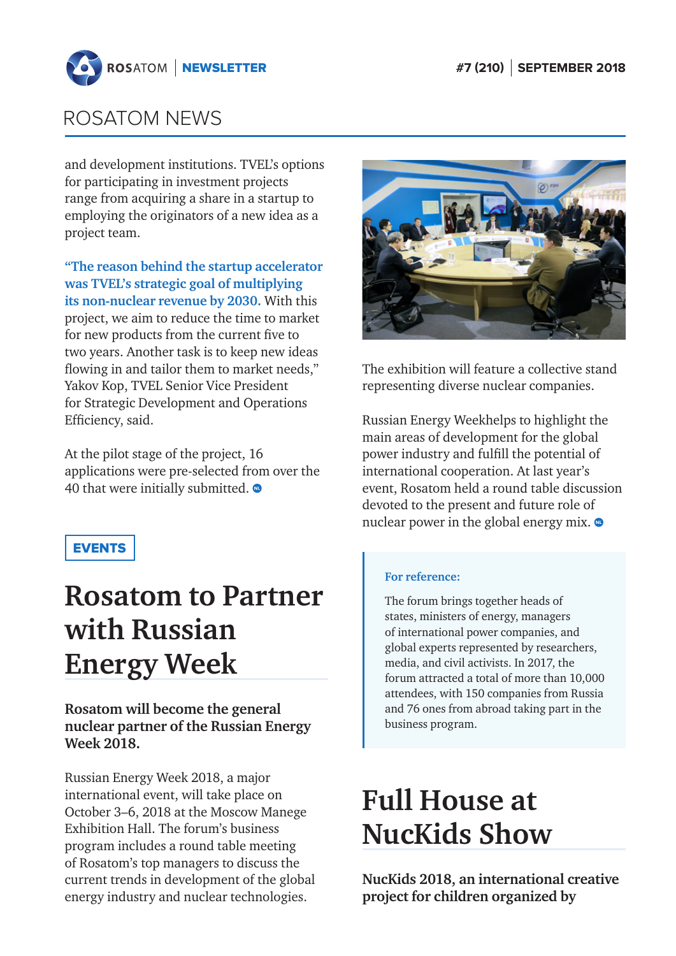<span id="page-7-0"></span>

and development institutions. TVEL's options for participating in investment projects range from acquiring a share in a startup to employing the originators of a new idea as a project team.

**"The reason behind the startup accelerator was TVEL's strategic goal of multiplying its non-nuclear revenue by 2030.** With this project, we aim to reduce the time to market for new products from the current five to two years. Another task is to keep new ideas flowing in and tailor them to market needs," Yakov Kop, TVEL Senior Vice President for Strategic Development and Operations Efficiency, said.

At the pilot stage of the project, 16 applications were pre-selected from over the 40 that were initially submitted.  $\bullet$ 

## EVENTS

# **Rosatom to Partner with Russian Energy Week**

## **Rosatom will become the general nuclear partner of the Russian Energy Week 2018.**

Russian Energy Week 2018, a major international event, will take place on October 3–6, 2018 at the Moscow Manege Exhibition Hall. The forum's business program includes a round table meeting of Rosatom's top managers to discuss the current trends in development of the global energy industry and nuclear technologies.



The exhibition will feature a collective stand representing diverse nuclear companies.

Russian Energy Weekhelps to highlight the main areas of development for the global power industry and fulfill the potential of international cooperation. At last year's event, Rosatom held a round table discussion devoted to the present and future role of nuclear power in the global energy mix.  $\bullet$ 

#### **For reference:**

The forum brings together heads of states, ministers of energy, managers of international power companies, and global experts represented by researchers, media, and civil activists. In 2017, the forum attracted a total of more than 10,000 attendees, with 150 companies from Russia and 76 ones from abroad taking part in the business program.

# **Full House at NucKids Show**

**NucKids 2018, an international creative project for children organized by**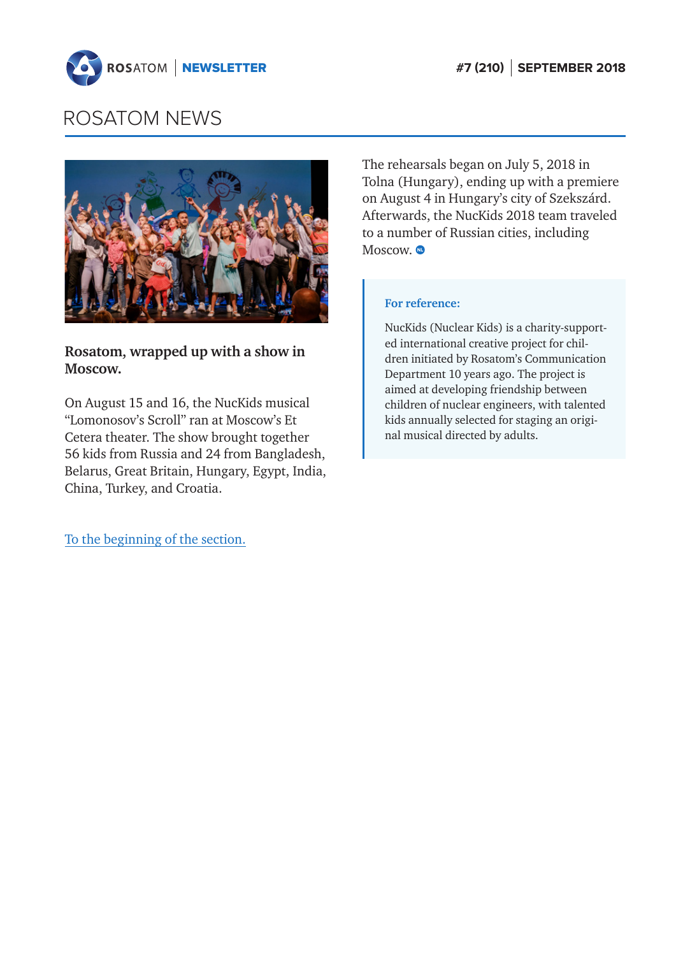



## **Rosatom, wrapped up with a show in Moscow.**

On August 15 and 16, the NucKids musical "Lomonosov's Scroll" ran at Moscow's Et Cetera theater. The show brought together 56 kids from Russia and 24 from Bangladesh, Belarus, Great Britain, Hungary, Egypt, India, China, Turkey, and Croatia.

[To the beginning of the section.](#page-1-0)

The rehearsals began on July 5, 2018 in Tolna (Hungary), ending up with a premiere on August 4 in Hungary's city of Szekszárd. Afterwards, the NucKids 2018 team traveled to a number of Russian cities, including Moscow.  $\bullet$ 

#### **For reference:**

NucKids (Nuclear Kids) is a charity-supported international creative project for children initiated by Rosatom's Communication Department 10 years ago. The project is aimed at developing friendship between children of nuclear engineers, with talented kids annually selected for staging an original musical directed by adults.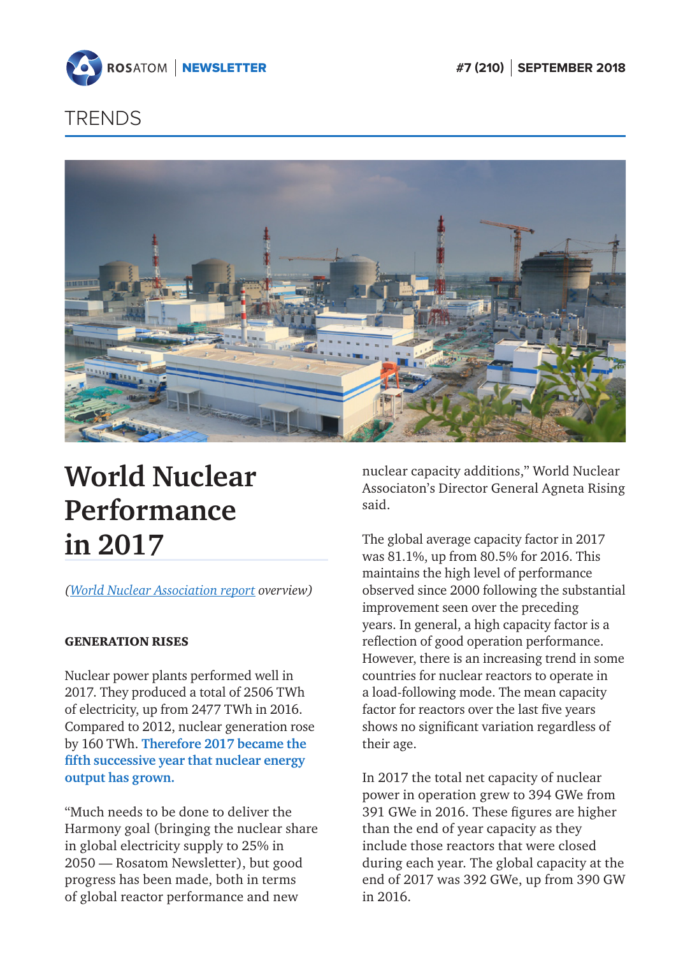<span id="page-9-0"></span>

# **TRENDS**



# **World Nuclear Performance in 2017**

*[\(World Nuclear Association report o](http://www.world-nuclear.org/our-association/publications/online-reports/world-nuclear-performance-report.aspx)verview)*

### GENERATION RISES

Nuclear power plants performed well in 2017. They produced a total of 2506 TWh of electricity, up from 2477 TWh in 2016. Compared to 2012, nuclear generation rose by 160 TWh. **Therefore 2017 became the fifth successive year that nuclear energy output has grown.**

"Much needs to be done to deliver the Harmony goal (bringing the nuclear share in global electricity supply to 25% in 2050 — Rosatom Newsletter), but good progress has been made, both in terms of global reactor performance and new

nuclear capacity additions," World Nuclear Associaton's Director General Agneta Rising said.

The global average capacity factor in 2017 was 81.1%, up from 80.5% for 2016. This maintains the high level of performance observed since 2000 following the substantial improvement seen over the preceding years. In general, a high capacity factor is a reflection of good operation performance. However, there is an increasing trend in some countries for nuclear reactors to operate in a load-following mode. The mean capacity factor for reactors over the last five years shows no significant variation regardless of their age.

In 2017 the total net capacity of nuclear power in operation grew to 394 GWe from 391 GWe in 2016. These figures are higher than the end of year capacity as they include those reactors that were closed during each year. The global capacity at the end of 2017 was 392 GWe, up from 390 GW in 2016.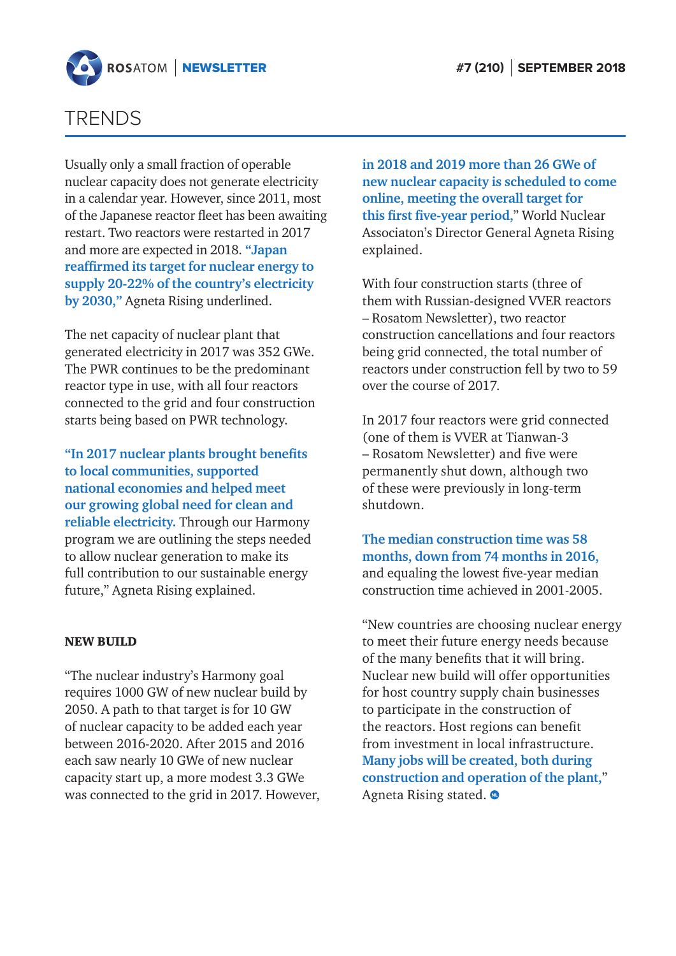

## TRENDS

Usually only a small fraction of operable nuclear capacity does not generate electricity in a calendar year. However, since 2011, most of the Japanese reactor fleet has been awaiting restart. Two reactors were restarted in 2017 and more are expected in 2018. **"Japan reaffirmed its target for nuclear energy to supply 20-22% of the country's electricity by 2030,"** Agneta Rising underlined.

The net capacity of nuclear plant that generated electricity in 2017 was 352 GWe. The PWR continues to be the predominant reactor type in use, with all four reactors connected to the grid and four construction starts being based on PWR technology.

**"In 2017 nuclear plants brought benefits to local communities, supported national economies and helped meet our growing global need for clean and reliable electricity.** Through our Harmony program we are outlining the steps needed to allow nuclear generation to make its full contribution to our sustainable energy future," Agneta Rising explained.

### NEW BUILD

"The nuclear industry's Harmony goal requires 1000 GW of new nuclear build by 2050. A path to that target is for 10 GW of nuclear capacity to be added each year between 2016-2020. After 2015 and 2016 each saw nearly 10 GWe of new nuclear capacity start up, a more modest 3.3 GWe was connected to the grid in 2017. However, **in 2018 and 2019 more than 26 GWe of new nuclear capacity is scheduled to come online, meeting the overall target for this first five-year period,**" World Nuclear Associaton's Director General Agneta Rising explained.

With four construction starts (three of them with Russian-designed VVER reactors – Rosatom Newsletter), two reactor construction cancellations and four reactors being grid connected, the total number of reactors under construction fell by two to 59 over the course of 2017.

In 2017 four reactors were grid connected (one of them is VVER at Tianwan-3 – Rosatom Newsletter) and five were permanently shut down, although two of these were previously in long-term shutdown.

**The median construction time was 58 months, down from 74 months in 2016,** and equaling the lowest five-year median construction time achieved in 2001-2005.

"New countries are choosing nuclear energy to meet their future energy needs because of the many benefits that it will bring. Nuclear new build will offer opportunities for host country supply chain businesses to participate in the construction of the reactors. Host regions can benefit from investment in local infrastructure. **Many jobs will be created, both during construction and operation of the plant,**" Agneta Rising stated.  $\bullet$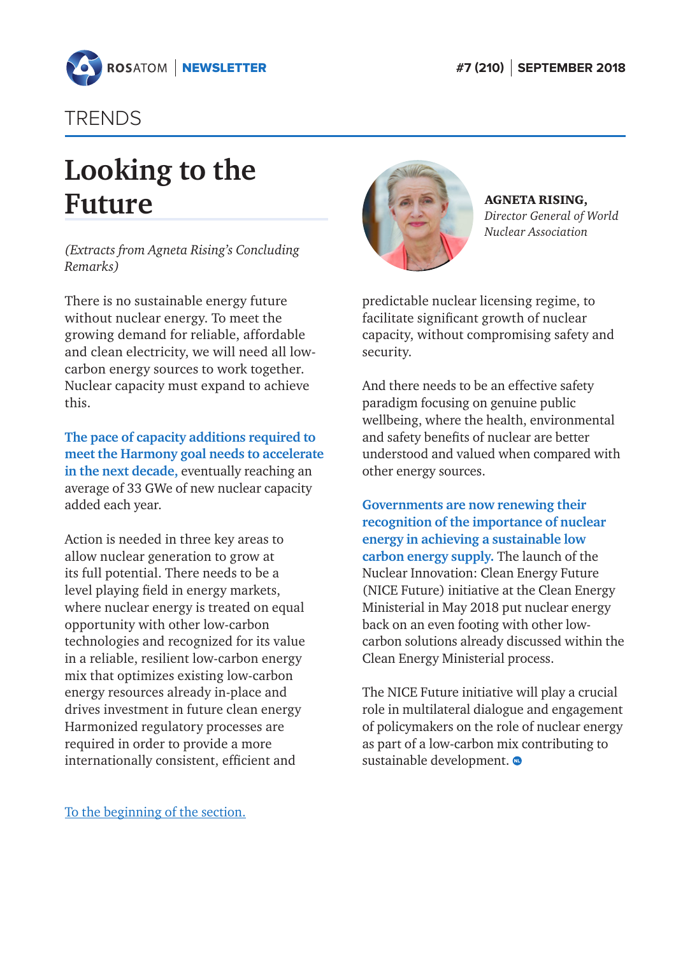<span id="page-11-0"></span>

## TRENDS

# **Looking to the Future**

*(Extracts from Agneta Rising's Concluding Remarks)*

There is no sustainable energy future without nuclear energy. To meet the growing demand for reliable, affordable and clean electricity, we will need all lowcarbon energy sources to work together. Nuclear capacity must expand to achieve this.

**The pace of capacity additions required to meet the Harmony goal needs to accelerate in the next decade,** eventually reaching an average of 33 GWe of new nuclear capacity added each year.

Action is needed in three key areas to allow nuclear generation to grow at its full potential. There needs to be a level playing field in energy markets, where nuclear energy is treated on equal opportunity with other low-carbon technologies and recognized for its value in a reliable, resilient low-carbon energy mix that optimizes existing low-carbon energy resources already in-place and drives investment in future clean energy Harmonized regulatory processes are required in order to provide a more internationally consistent, efficient and



AGNETA RISING, *Director General of World Nuclear Association*

predictable nuclear licensing regime, to facilitate significant growth of nuclear capacity, without compromising safety and security.

And there needs to be an effective safety paradigm focusing on genuine public wellbeing, where the health, environmental and safety benefits of nuclear are better understood and valued when compared with other energy sources.

**Governments are now renewing their recognition of the importance of nuclear energy in achieving a sustainable low carbon energy supply.** The launch of the Nuclear Innovation: Clean Energy Future (NICE Future) initiative at the Clean Energy Ministerial in May 2018 put nuclear energy back on an even footing with other lowcarbon solutions already discussed within the Clean Energy Ministerial process.

The NICE Future initiative will play a crucial role in multilateral dialogue and engagement of policymakers on the role of nuclear energy as part of a low-carbon mix contributing to sustainable development.  $\bullet$ 

[To the beginning of the section.](#page-9-0)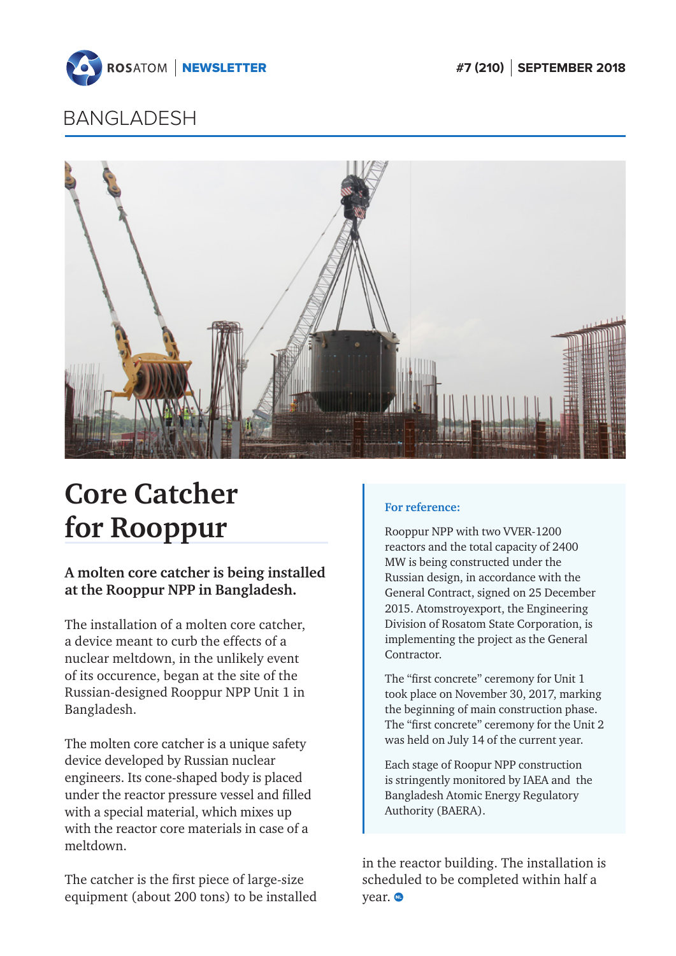

<span id="page-12-0"></span>

## BANGLADESH



# **Core Catcher for Rooppur**

## **A molten core catcher is being installed at the Rooppur NPP in Bangladesh.**

The installation of a molten core catcher, a device meant to curb the effects of a nuclear meltdown, in the unlikely event of its occurence, began at the site of the Russian-designed Rooppur NPP Unit 1 in Bangladesh.

The molten core catcher is a unique safety device developed by Russian nuclear engineers. Its cone-shaped body is placed under the reactor pressure vessel and filled with a special material, which mixes up with the reactor core materials in case of a meltdown.

The catcher is the first piece of large-size equipment (about 200 tons) to be installed

### **For reference:**

Rooppur NPP with two VVER-1200 reactors and the total capacity of 2400 MW is being constructed under the Russian design, in accordance with the General Contract, signed on 25 December 2015. Atomstroyexport, the Engineering Division of Rosatom State Corporation, is implementing the project as the General Contractor.

The "first concrete" ceremony for Unit 1 took place on November 30, 2017, marking the beginning of main construction phase. The "first concrete" ceremony for the Unit 2 was held on July 14 of the current year.

Each stage of Roopur NPP construction is stringently monitored by IAEA and the Bangladesh Atomic Energy Regulatory Authority (BAERA).

in the reactor building. The installation is scheduled to be completed within half a year.  $\bullet$